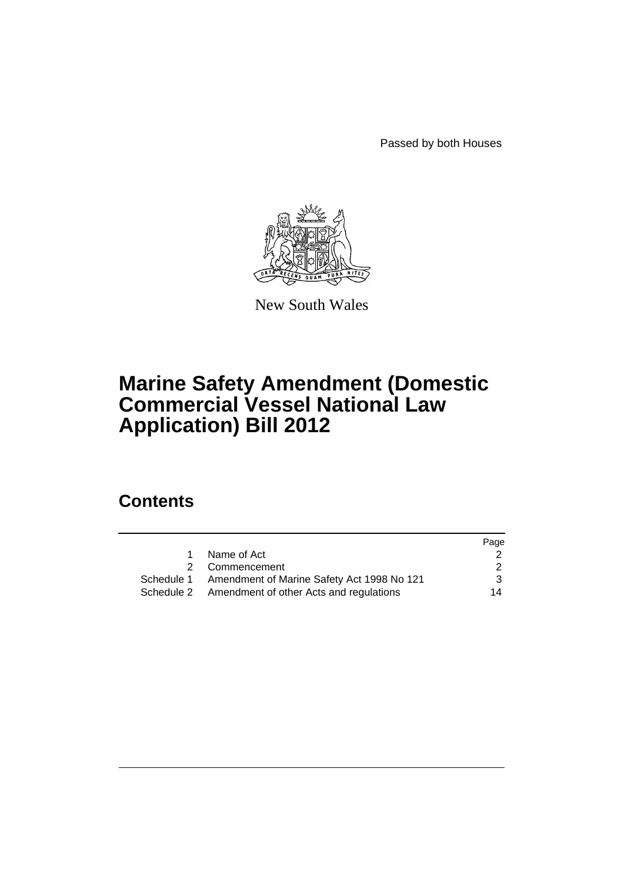Passed by both Houses



New South Wales

# **Marine Safety Amendment (Domestic Commercial Vessel National Law Application) Bill 2012**

# **Contents**

|                                                       | Page          |
|-------------------------------------------------------|---------------|
| Name of Act                                           |               |
| 2 Commencement                                        | $\mathcal{P}$ |
| Schedule 1 Amendment of Marine Safety Act 1998 No 121 | 3             |
| Schedule 2 Amendment of other Acts and regulations    | 14            |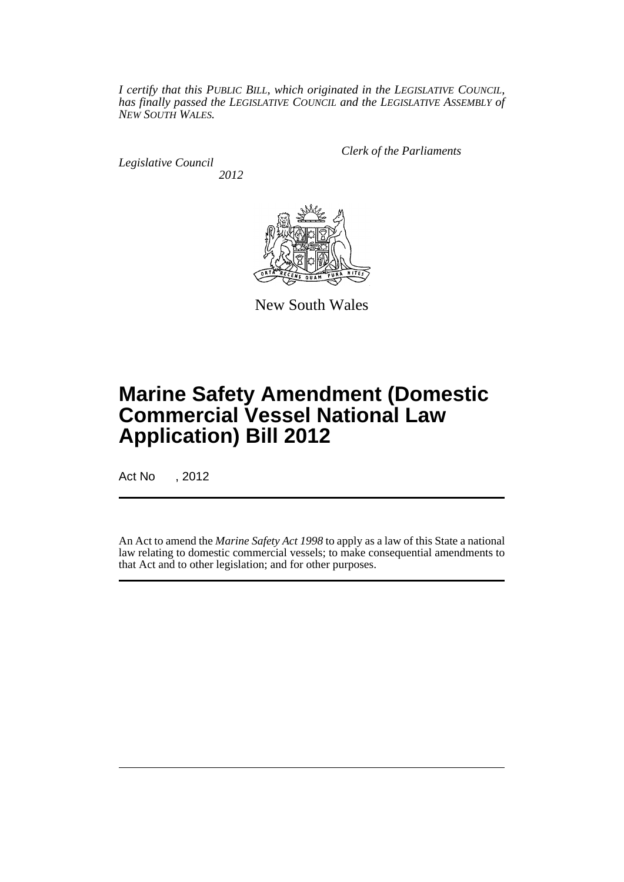*I certify that this PUBLIC BILL, which originated in the LEGISLATIVE COUNCIL, has finally passed the LEGISLATIVE COUNCIL and the LEGISLATIVE ASSEMBLY of NEW SOUTH WALES.*

*Legislative Council 2012* *Clerk of the Parliaments*



New South Wales

# **Marine Safety Amendment (Domestic Commercial Vessel National Law Application) Bill 2012**

Act No , 2012

An Act to amend the *Marine Safety Act 1998* to apply as a law of this State a national law relating to domestic commercial vessels; to make consequential amendments to that Act and to other legislation; and for other purposes.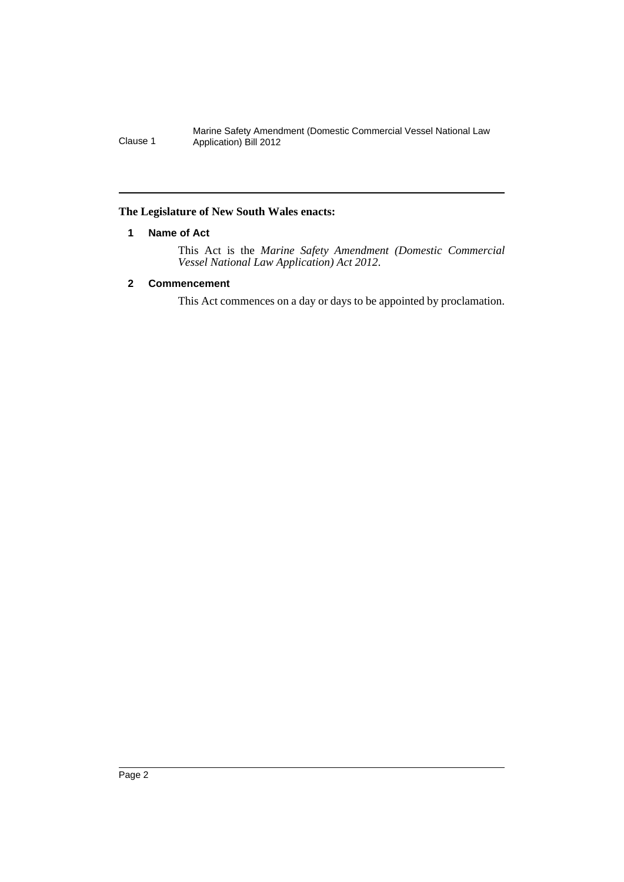## <span id="page-3-0"></span>**The Legislature of New South Wales enacts:**

## **1 Name of Act**

This Act is the *Marine Safety Amendment (Domestic Commercial Vessel National Law Application) Act 2012*.

## <span id="page-3-1"></span>**2 Commencement**

This Act commences on a day or days to be appointed by proclamation.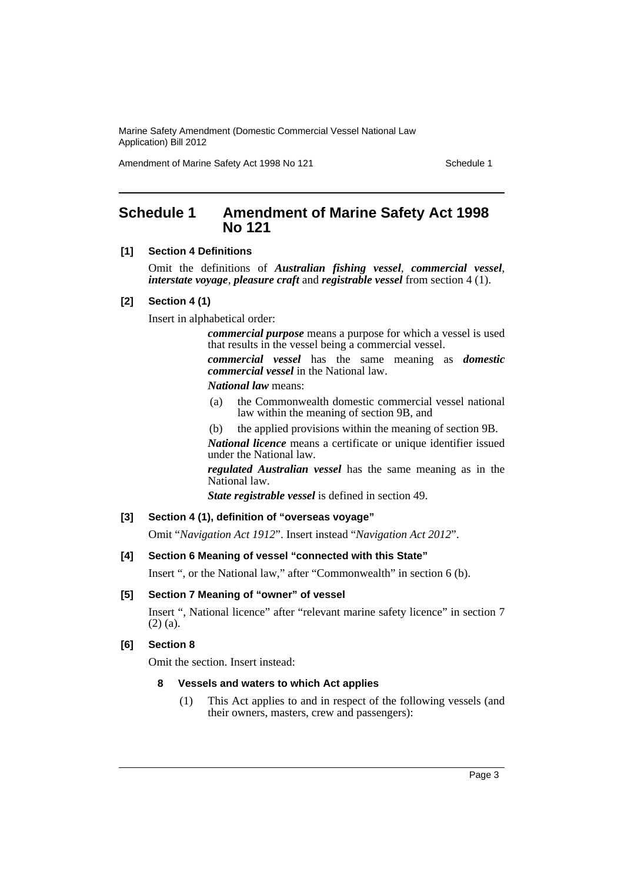Amendment of Marine Safety Act 1998 No 121 Schedule 1

# <span id="page-4-0"></span>**Schedule 1 Amendment of Marine Safety Act 1998 No 121**

#### **[1] Section 4 Definitions**

Omit the definitions of *Australian fishing vessel*, *commercial vessel*, *interstate voyage*, *pleasure craft* and *registrable vessel* from section 4 (1).

#### **[2] Section 4 (1)**

Insert in alphabetical order:

*commercial purpose* means a purpose for which a vessel is used that results in the vessel being a commercial vessel.

*commercial vessel* has the same meaning as *domestic commercial vessel* in the National law.

*National law* means:

- (a) the Commonwealth domestic commercial vessel national law within the meaning of section 9B, and
- (b) the applied provisions within the meaning of section 9B.

*National licence* means a certificate or unique identifier issued under the National law.

*regulated Australian vessel* has the same meaning as in the National law.

*State registrable vessel* is defined in section 49.

## **[3] Section 4 (1), definition of "overseas voyage"**

Omit "*Navigation Act 1912*". Insert instead "*Navigation Act 2012*".

## **[4] Section 6 Meaning of vessel "connected with this State"**

Insert ", or the National law," after "Commonwealth" in section 6 (b).

## **[5] Section 7 Meaning of "owner" of vessel**

Insert ", National licence" after "relevant marine safety licence" in section 7 (2) (a).

#### **[6] Section 8**

Omit the section. Insert instead:

#### **8 Vessels and waters to which Act applies**

(1) This Act applies to and in respect of the following vessels (and their owners, masters, crew and passengers):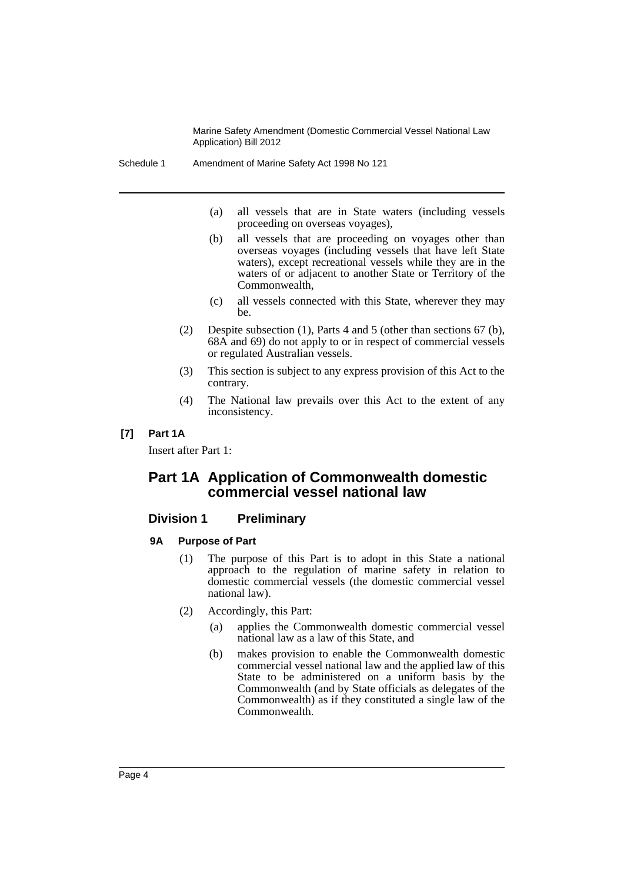- Schedule 1 Amendment of Marine Safety Act 1998 No 121
	- (a) all vessels that are in State waters (including vessels proceeding on overseas voyages),
	- (b) all vessels that are proceeding on voyages other than overseas voyages (including vessels that have left State waters), except recreational vessels while they are in the waters of or adjacent to another State or Territory of the Commonwealth,
	- (c) all vessels connected with this State, wherever they may be.
	- (2) Despite subsection (1), Parts 4 and 5 (other than sections 67 (b), 68A and 69) do not apply to or in respect of commercial vessels or regulated Australian vessels.
	- (3) This section is subject to any express provision of this Act to the contrary.
	- (4) The National law prevails over this Act to the extent of any inconsistency.

## **[7] Part 1A**

Insert after Part 1:

# **Part 1A Application of Commonwealth domestic commercial vessel national law**

## **Division 1 Preliminary**

#### **9A Purpose of Part**

- (1) The purpose of this Part is to adopt in this State a national approach to the regulation of marine safety in relation to domestic commercial vessels (the domestic commercial vessel national law).
- (2) Accordingly, this Part:
	- (a) applies the Commonwealth domestic commercial vessel national law as a law of this State, and
	- (b) makes provision to enable the Commonwealth domestic commercial vessel national law and the applied law of this State to be administered on a uniform basis by the Commonwealth (and by State officials as delegates of the Commonwealth) as if they constituted a single law of the Commonwealth.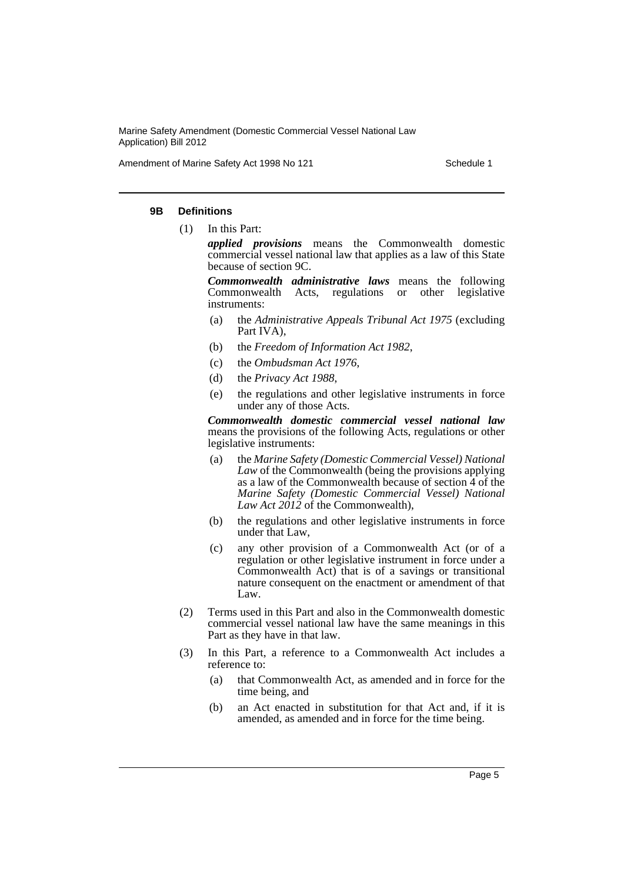Amendment of Marine Safety Act 1998 No 121 Schedule 1

#### **9B Definitions**

- (1) In this Part:
	- *applied provisions* means the Commonwealth domestic commercial vessel national law that applies as a law of this State because of section 9C.

*Commonwealth administrative laws* means the following Commonwealth Acts, regulations or other legislative instruments:

- (a) the *Administrative Appeals Tribunal Act 1975* (excluding Part IVA),
- (b) the *Freedom of Information Act 1982*,
- (c) the *Ombudsman Act 1976*,
- (d) the *Privacy Act 1988*,
- (e) the regulations and other legislative instruments in force under any of those Acts.

*Commonwealth domestic commercial vessel national law* means the provisions of the following Acts, regulations or other legislative instruments:

- (a) the *Marine Safety (Domestic Commercial Vessel) National Law* of the Commonwealth (being the provisions applying as a law of the Commonwealth because of section 4 of the *Marine Safety (Domestic Commercial Vessel) National Law Act 2012* of the Commonwealth),
- (b) the regulations and other legislative instruments in force under that Law,
- (c) any other provision of a Commonwealth Act (or of a regulation or other legislative instrument in force under a Commonwealth Act) that is of a savings or transitional nature consequent on the enactment or amendment of that Law.
- (2) Terms used in this Part and also in the Commonwealth domestic commercial vessel national law have the same meanings in this Part as they have in that law.
- (3) In this Part, a reference to a Commonwealth Act includes a reference to:
	- (a) that Commonwealth Act, as amended and in force for the time being, and
	- (b) an Act enacted in substitution for that Act and, if it is amended, as amended and in force for the time being.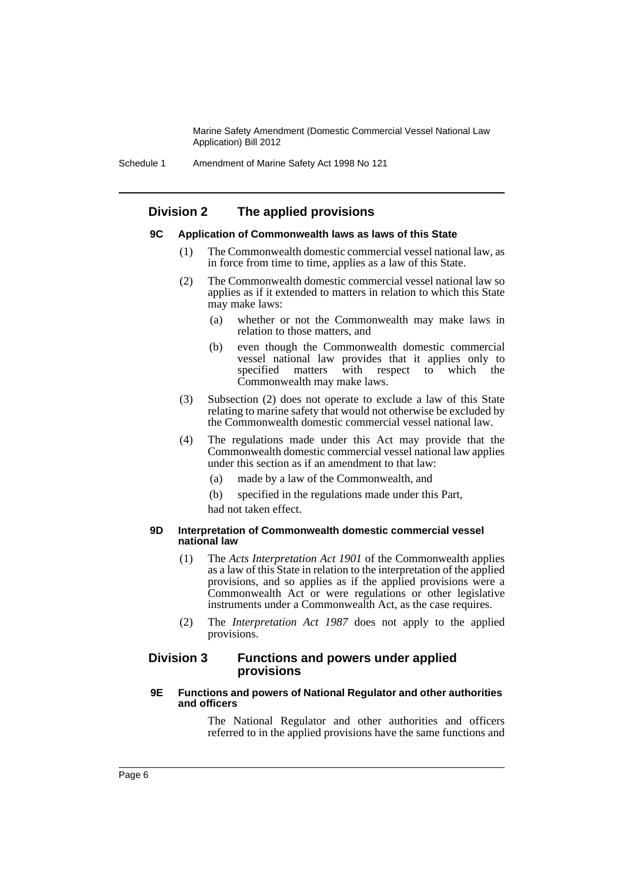# **Division 2 The applied provisions**

#### **9C Application of Commonwealth laws as laws of this State**

- (1) The Commonwealth domestic commercial vessel national law, as in force from time to time, applies as a law of this State.
- (2) The Commonwealth domestic commercial vessel national law so applies as if it extended to matters in relation to which this State may make laws:
	- (a) whether or not the Commonwealth may make laws in relation to those matters, and
	- (b) even though the Commonwealth domestic commercial vessel national law provides that it applies only to specified matters with respect to which the Commonwealth may make laws.
- (3) Subsection (2) does not operate to exclude a law of this State relating to marine safety that would not otherwise be excluded by the Commonwealth domestic commercial vessel national law.
- (4) The regulations made under this Act may provide that the Commonwealth domestic commercial vessel national law applies under this section as if an amendment to that law:
	- (a) made by a law of the Commonwealth, and
	- (b) specified in the regulations made under this Part,
	- had not taken effect.

#### **9D Interpretation of Commonwealth domestic commercial vessel national law**

- (1) The *Acts Interpretation Act 1901* of the Commonwealth applies as a law of this State in relation to the interpretation of the applied provisions, and so applies as if the applied provisions were a Commonwealth Act or were regulations or other legislative instruments under a Commonwealth Act, as the case requires.
- (2) The *Interpretation Act 1987* does not apply to the applied provisions.

## **Division 3 Functions and powers under applied provisions**

#### **9E Functions and powers of National Regulator and other authorities and officers**

The National Regulator and other authorities and officers referred to in the applied provisions have the same functions and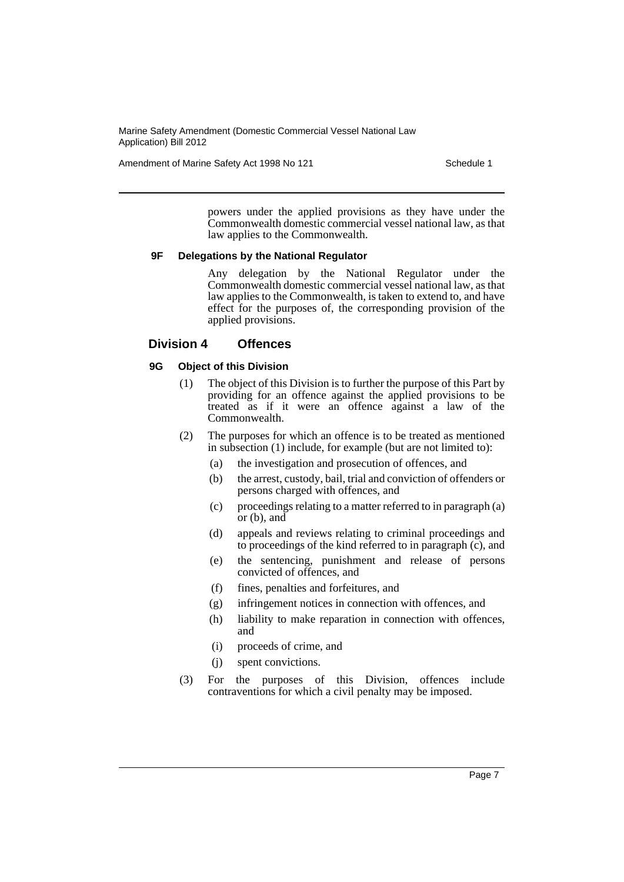Amendment of Marine Safety Act 1998 No 121 Schedule 1

powers under the applied provisions as they have under the Commonwealth domestic commercial vessel national law, as that law applies to the Commonwealth.

## **9F Delegations by the National Regulator**

Any delegation by the National Regulator under the Commonwealth domestic commercial vessel national law, as that law applies to the Commonwealth, is taken to extend to, and have effect for the purposes of, the corresponding provision of the applied provisions.

## **Division 4 Offences**

## **9G Object of this Division**

- (1) The object of this Division is to further the purpose of this Part by providing for an offence against the applied provisions to be treated as if it were an offence against a law of the Commonwealth.
- (2) The purposes for which an offence is to be treated as mentioned in subsection (1) include, for example (but are not limited to):
	- (a) the investigation and prosecution of offences, and
	- (b) the arrest, custody, bail, trial and conviction of offenders or persons charged with offences, and
	- (c) proceedings relating to a matter referred to in paragraph (a) or (b), and
	- (d) appeals and reviews relating to criminal proceedings and to proceedings of the kind referred to in paragraph  $(c)$ , and
	- (e) the sentencing, punishment and release of persons convicted of offences, and
	- (f) fines, penalties and forfeitures, and
	- (g) infringement notices in connection with offences, and
	- (h) liability to make reparation in connection with offences, and
	- (i) proceeds of crime, and
	- (j) spent convictions.
- (3) For the purposes of this Division, offences include contraventions for which a civil penalty may be imposed.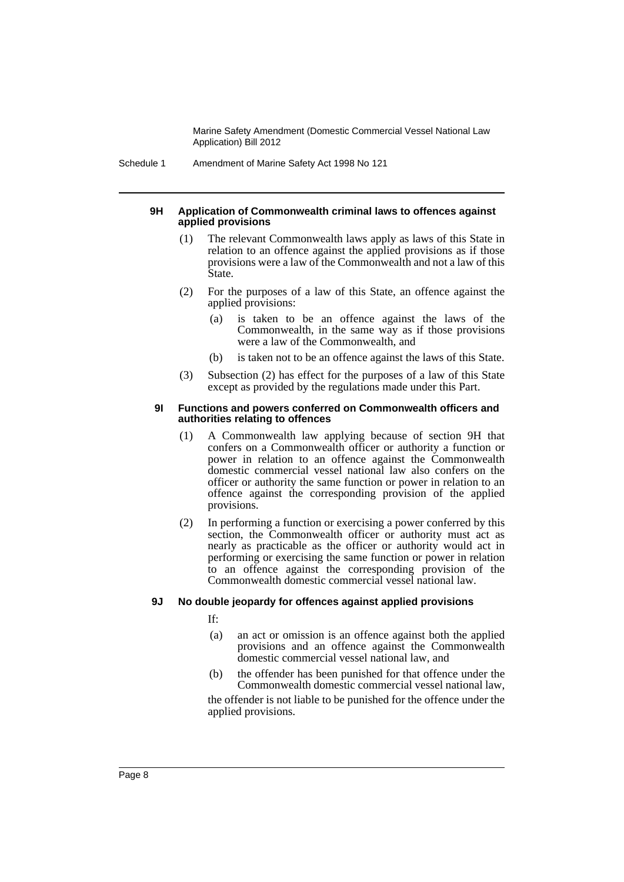Schedule 1 Amendment of Marine Safety Act 1998 No 121

#### **9H Application of Commonwealth criminal laws to offences against applied provisions**

- (1) The relevant Commonwealth laws apply as laws of this State in relation to an offence against the applied provisions as if those provisions were a law of the Commonwealth and not a law of this State.
- (2) For the purposes of a law of this State, an offence against the applied provisions:
	- (a) is taken to be an offence against the laws of the Commonwealth, in the same way as if those provisions were a law of the Commonwealth, and
	- (b) is taken not to be an offence against the laws of this State.
- (3) Subsection (2) has effect for the purposes of a law of this State except as provided by the regulations made under this Part.

#### **9I Functions and powers conferred on Commonwealth officers and authorities relating to offences**

- (1) A Commonwealth law applying because of section 9H that confers on a Commonwealth officer or authority a function or power in relation to an offence against the Commonwealth domestic commercial vessel national law also confers on the officer or authority the same function or power in relation to an offence against the corresponding provision of the applied provisions.
- (2) In performing a function or exercising a power conferred by this section, the Commonwealth officer or authority must act as nearly as practicable as the officer or authority would act in performing or exercising the same function or power in relation to an offence against the corresponding provision of the Commonwealth domestic commercial vessel national law.

## **9J No double jeopardy for offences against applied provisions**

If:

- (a) an act or omission is an offence against both the applied provisions and an offence against the Commonwealth domestic commercial vessel national law, and
- (b) the offender has been punished for that offence under the Commonwealth domestic commercial vessel national law,

the offender is not liable to be punished for the offence under the applied provisions.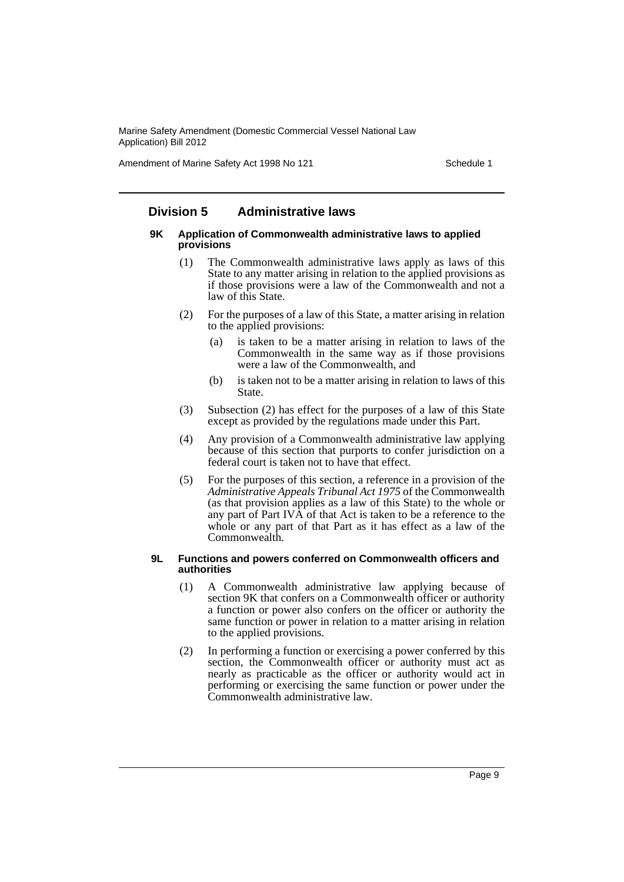Amendment of Marine Safety Act 1998 No 121 Schedule 1

# **Division 5 Administrative laws**

#### **9K Application of Commonwealth administrative laws to applied provisions**

- (1) The Commonwealth administrative laws apply as laws of this State to any matter arising in relation to the applied provisions as if those provisions were a law of the Commonwealth and not a law of this State.
- (2) For the purposes of a law of this State, a matter arising in relation to the applied provisions:
	- (a) is taken to be a matter arising in relation to laws of the Commonwealth in the same way as if those provisions were a law of the Commonwealth, and
	- (b) is taken not to be a matter arising in relation to laws of this State.
- (3) Subsection (2) has effect for the purposes of a law of this State except as provided by the regulations made under this Part.
- (4) Any provision of a Commonwealth administrative law applying because of this section that purports to confer jurisdiction on a federal court is taken not to have that effect.
- (5) For the purposes of this section, a reference in a provision of the *Administrative Appeals Tribunal Act 1975* of the Commonwealth (as that provision applies as a law of this State) to the whole or any part of Part IVA of that Act is taken to be a reference to the whole or any part of that Part as it has effect as a law of the Commonwealth.

#### **9L Functions and powers conferred on Commonwealth officers and authorities**

- (1) A Commonwealth administrative law applying because of section 9K that confers on a Commonwealth officer or authority a function or power also confers on the officer or authority the same function or power in relation to a matter arising in relation to the applied provisions.
- (2) In performing a function or exercising a power conferred by this section, the Commonwealth officer or authority must act as nearly as practicable as the officer or authority would act in performing or exercising the same function or power under the Commonwealth administrative law.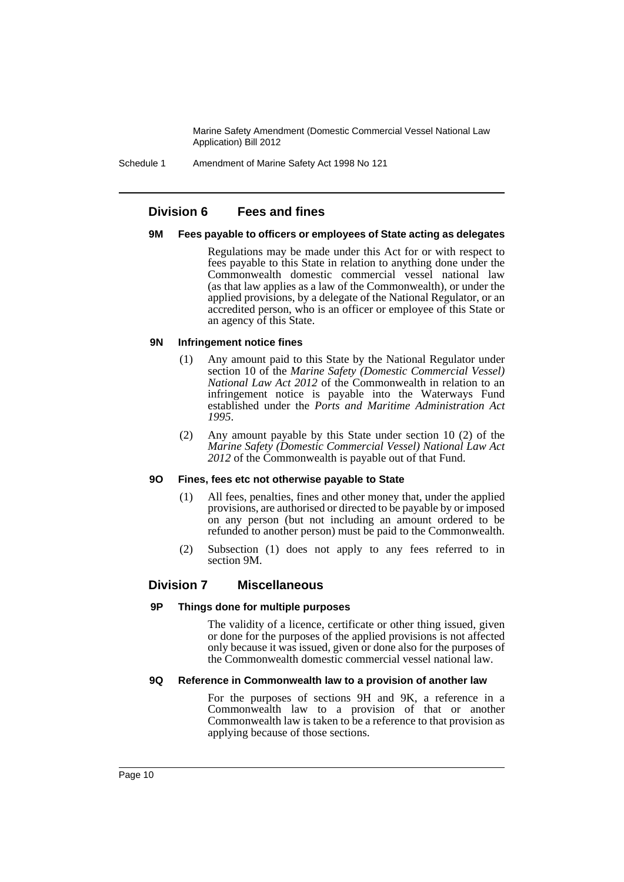Schedule 1 Amendment of Marine Safety Act 1998 No 121

## **Division 6 Fees and fines**

#### **9M Fees payable to officers or employees of State acting as delegates**

Regulations may be made under this Act for or with respect to fees payable to this State in relation to anything done under the Commonwealth domestic commercial vessel national law (as that law applies as a law of the Commonwealth), or under the applied provisions, by a delegate of the National Regulator, or an accredited person, who is an officer or employee of this State or an agency of this State.

## **9N Infringement notice fines**

- (1) Any amount paid to this State by the National Regulator under section 10 of the *Marine Safety (Domestic Commercial Vessel) National Law Act 2012* of the Commonwealth in relation to an infringement notice is payable into the Waterways Fund established under the *Ports and Maritime Administration Act 1995*.
- (2) Any amount payable by this State under section 10 (2) of the *Marine Safety (Domestic Commercial Vessel) National Law Act 2012* of the Commonwealth is payable out of that Fund.

#### **9O Fines, fees etc not otherwise payable to State**

- (1) All fees, penalties, fines and other money that, under the applied provisions, are authorised or directed to be payable by or imposed on any person (but not including an amount ordered to be refunded to another person) must be paid to the Commonwealth.
- (2) Subsection (1) does not apply to any fees referred to in section 9M.

## **Division 7 Miscellaneous**

## **9P Things done for multiple purposes**

The validity of a licence, certificate or other thing issued, given or done for the purposes of the applied provisions is not affected only because it was issued, given or done also for the purposes of the Commonwealth domestic commercial vessel national law.

## **9Q Reference in Commonwealth law to a provision of another law**

For the purposes of sections 9H and 9K, a reference in a Commonwealth law to a provision of that or another Commonwealth law is taken to be a reference to that provision as applying because of those sections.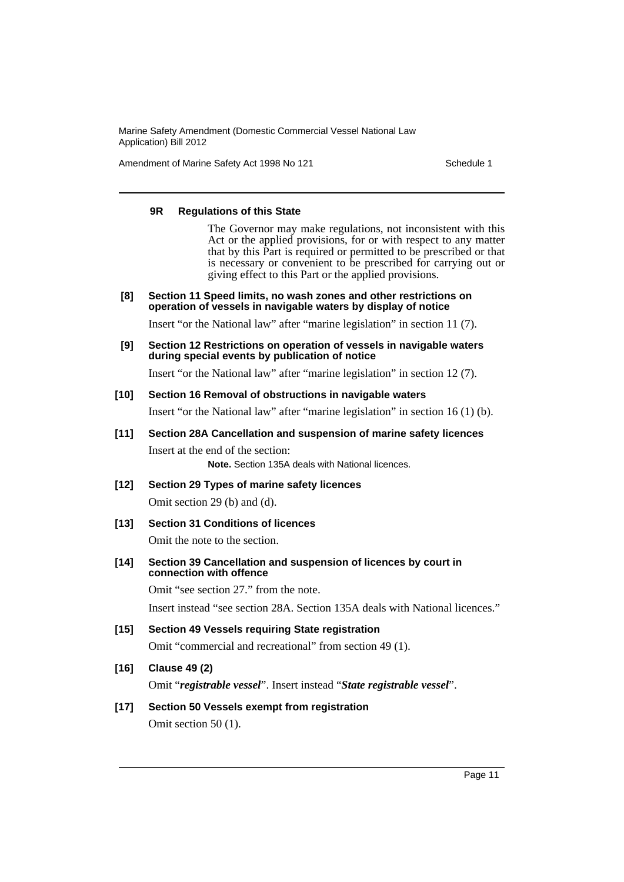Amendment of Marine Safety Act 1998 No 121 Schedule 1

#### **9R Regulations of this State**

The Governor may make regulations, not inconsistent with this Act or the applied provisions, for or with respect to any matter that by this Part is required or permitted to be prescribed or that is necessary or convenient to be prescribed for carrying out or giving effect to this Part or the applied provisions.

**[8] Section 11 Speed limits, no wash zones and other restrictions on operation of vessels in navigable waters by display of notice**

Insert "or the National law" after "marine legislation" in section 11 (7).

**[9] Section 12 Restrictions on operation of vessels in navigable waters during special events by publication of notice**

Insert "or the National law" after "marine legislation" in section 12 (7).

**[10] Section 16 Removal of obstructions in navigable waters**

Insert "or the National law" after "marine legislation" in section 16 (1) (b).

**[11] Section 28A Cancellation and suspension of marine safety licences**

Insert at the end of the section: **Note.** Section 135A deals with National licences.

**[12] Section 29 Types of marine safety licences**

Omit section 29 (b) and (d).

**[13] Section 31 Conditions of licences**

Omit the note to the section.

**[14] Section 39 Cancellation and suspension of licences by court in connection with offence**

Omit "see section 27." from the note.

Insert instead "see section 28A. Section 135A deals with National licences."

**[15] Section 49 Vessels requiring State registration** Omit "commercial and recreational" from section 49 (1).

# **[16] Clause 49 (2)**

Omit "*registrable vessel*". Insert instead "*State registrable vessel*".

## **[17] Section 50 Vessels exempt from registration**

Omit section 50 (1).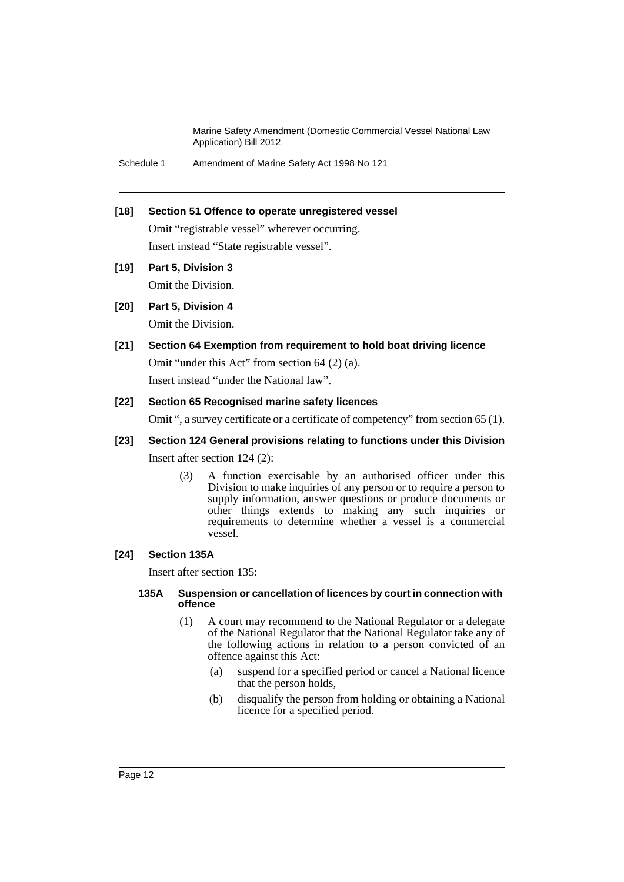Schedule 1 Amendment of Marine Safety Act 1998 No 121

## **[18] Section 51 Offence to operate unregistered vessel**

Omit "registrable vessel" wherever occurring. Insert instead "State registrable vessel".

**[19] Part 5, Division 3**

Omit the Division.

**[20] Part 5, Division 4**

Omit the Division.

## **[21] Section 64 Exemption from requirement to hold boat driving licence**

Omit "under this Act" from section 64 (2) (a). Insert instead "under the National law".

## **[22] Section 65 Recognised marine safety licences**

Omit ", a survey certificate or a certificate of competency" from section 65 (1).

## **[23] Section 124 General provisions relating to functions under this Division** Insert after section 124 (2):

(3) A function exercisable by an authorised officer under this Division to make inquiries of any person or to require a person to supply information, answer questions or produce documents or other things extends to making any such inquiries or requirements to determine whether a vessel is a commercial vessel.

## **[24] Section 135A**

Insert after section 135:

#### **135A Suspension or cancellation of licences by court in connection with offence**

- (1) A court may recommend to the National Regulator or a delegate of the National Regulator that the National Regulator take any of the following actions in relation to a person convicted of an offence against this Act:
	- (a) suspend for a specified period or cancel a National licence that the person holds,
	- (b) disqualify the person from holding or obtaining a National licence for a specified period.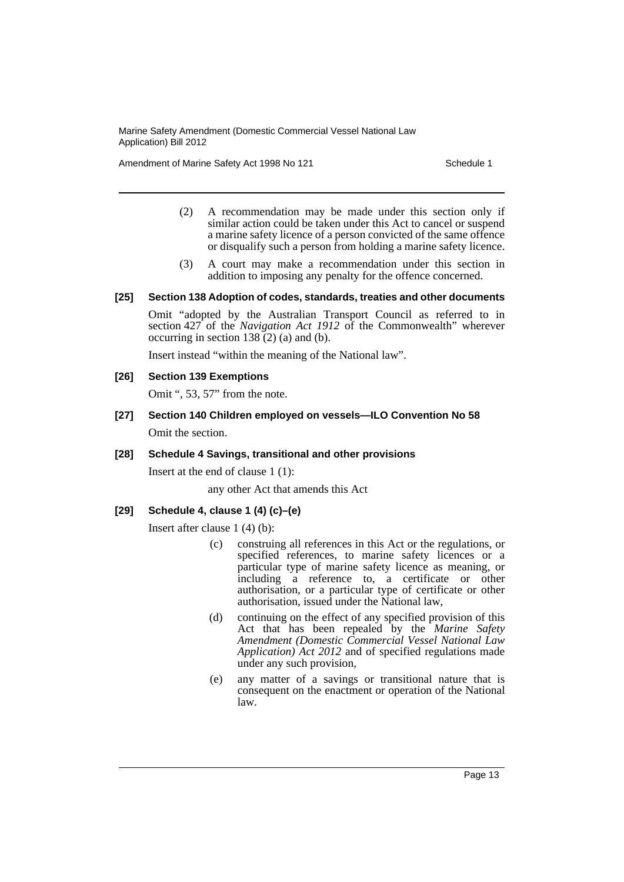Amendment of Marine Safety Act 1998 No 121 Schedule 1

- (2) A recommendation may be made under this section only if similar action could be taken under this Act to cancel or suspend a marine safety licence of a person convicted of the same offence or disqualify such a person from holding a marine safety licence.
- (3) A court may make a recommendation under this section in addition to imposing any penalty for the offence concerned.

## **[25] Section 138 Adoption of codes, standards, treaties and other documents**

Omit "adopted by the Australian Transport Council as referred to in section 427 of the *Navigation Act 1912* of the Commonwealth" wherever occurring in section  $138(2)$  (a) and (b).

Insert instead "within the meaning of the National law".

## **[26] Section 139 Exemptions**

Omit ", 53, 57" from the note.

**[27] Section 140 Children employed on vessels—ILO Convention No 58** Omit the section.

## **[28] Schedule 4 Savings, transitional and other provisions**

Insert at the end of clause 1 (1):

any other Act that amends this Act

## **[29] Schedule 4, clause 1 (4) (c)–(e)**

Insert after clause 1 (4) (b):

- (c) construing all references in this Act or the regulations, or specified references, to marine safety licences or a particular type of marine safety licence as meaning, or including a reference to, a certificate or other authorisation, or a particular type of certificate or other authorisation, issued under the National law,
- (d) continuing on the effect of any specified provision of this Act that has been repealed by the *Marine Safety Amendment (Domestic Commercial Vessel National Law Application) Act 2012* and of specified regulations made under any such provision,
- (e) any matter of a savings or transitional nature that is consequent on the enactment or operation of the National law.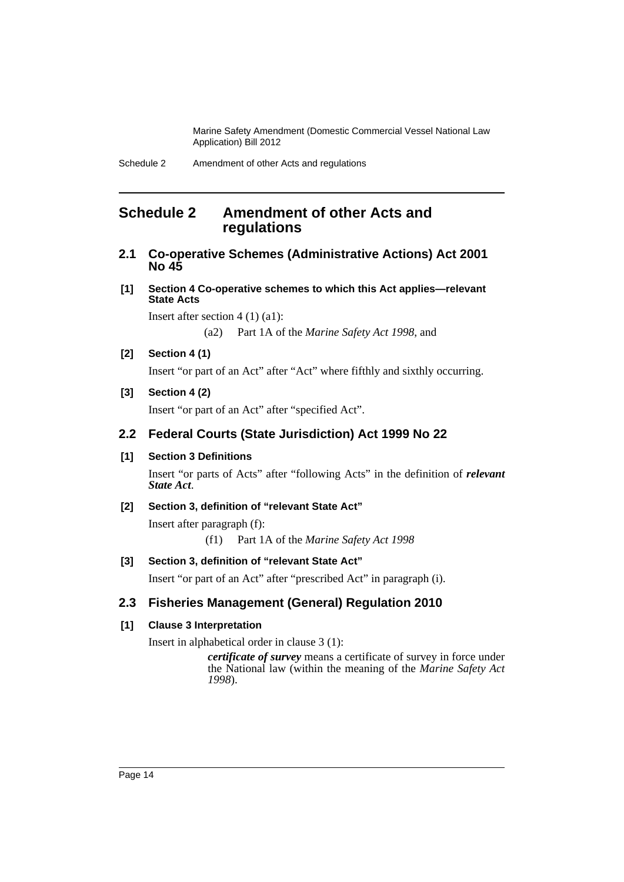# <span id="page-15-0"></span>**Schedule 2 Amendment of other Acts and regulations**

## **2.1 Co-operative Schemes (Administrative Actions) Act 2001 No 45**

**[1] Section 4 Co-operative schemes to which this Act applies—relevant State Acts**

Insert after section 4 (1) (a1):

(a2) Part 1A of the *Marine Safety Act 1998*, and

## **[2] Section 4 (1)**

Insert "or part of an Act" after "Act" where fifthly and sixthly occurring.

## **[3] Section 4 (2)**

Insert "or part of an Act" after "specified Act".

## **2.2 Federal Courts (State Jurisdiction) Act 1999 No 22**

## **[1] Section 3 Definitions**

Insert "or parts of Acts" after "following Acts" in the definition of *relevant State Act*.

## **[2] Section 3, definition of "relevant State Act"**

Insert after paragraph (f):

(f1) Part 1A of the *Marine Safety Act 1998*

#### **[3] Section 3, definition of "relevant State Act"**

Insert "or part of an Act" after "prescribed Act" in paragraph (i).

# **2.3 Fisheries Management (General) Regulation 2010**

## **[1] Clause 3 Interpretation**

Insert in alphabetical order in clause 3 (1):

*certificate of survey* means a certificate of survey in force under the National law (within the meaning of the *Marine Safety Act 1998*).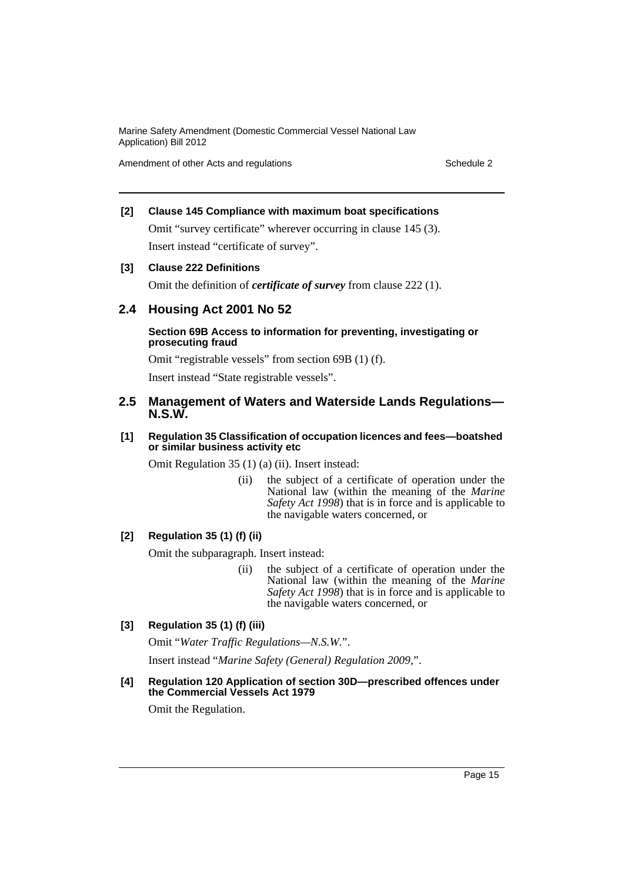Amendment of other Acts and regulations **Schedule 2** Schedule 2

## **[2] Clause 145 Compliance with maximum boat specifications**

Omit "survey certificate" wherever occurring in clause 145 (3). Insert instead "certificate of survey".

## **[3] Clause 222 Definitions**

Omit the definition of *certificate of survey* from clause 222 (1).

# **2.4 Housing Act 2001 No 52**

## **Section 69B Access to information for preventing, investigating or prosecuting fraud**

Omit "registrable vessels" from section 69B (1) (f). Insert instead "State registrable vessels".

## **2.5 Management of Waters and Waterside Lands Regulations— N.S.W.**

## **[1] Regulation 35 Classification of occupation licences and fees—boatshed or similar business activity etc**

Omit Regulation 35 (1) (a) (ii). Insert instead:

(ii) the subject of a certificate of operation under the National law (within the meaning of the *Marine Safety Act 1998*) that is in force and is applicable to the navigable waters concerned, or

## **[2] Regulation 35 (1) (f) (ii)**

Omit the subparagraph. Insert instead:

(ii) the subject of a certificate of operation under the National law (within the meaning of the *Marine Safety Act 1998*) that is in force and is applicable to the navigable waters concerned, or

## **[3] Regulation 35 (1) (f) (iii)**

Omit "*Water Traffic Regulations—N.S.W.*".

Insert instead "*Marine Safety (General) Regulation 2009*,".

## **[4] Regulation 120 Application of section 30D—prescribed offences under the Commercial Vessels Act 1979**

Omit the Regulation.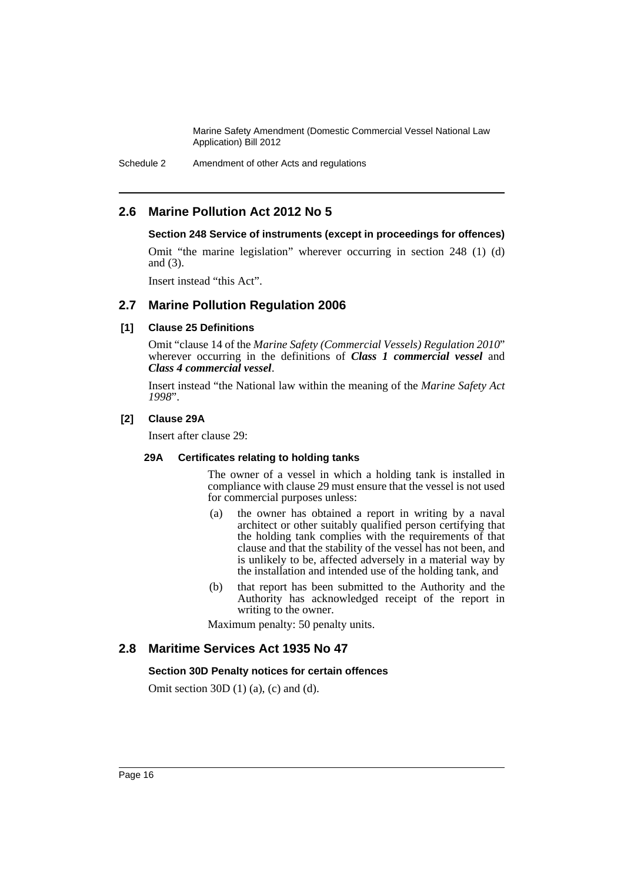Schedule 2 Amendment of other Acts and regulations

# **2.6 Marine Pollution Act 2012 No 5**

## **Section 248 Service of instruments (except in proceedings for offences)**

Omit "the marine legislation" wherever occurring in section 248 (1) (d) and (3).

Insert instead "this Act".

## **2.7 Marine Pollution Regulation 2006**

## **[1] Clause 25 Definitions**

Omit "clause 14 of the *Marine Safety (Commercial Vessels) Regulation 2010*" wherever occurring in the definitions of *Class 1 commercial vessel* and *Class 4 commercial vessel*.

Insert instead "the National law within the meaning of the *Marine Safety Act 1998*".

## **[2] Clause 29A**

Insert after clause 29:

#### **29A Certificates relating to holding tanks**

The owner of a vessel in which a holding tank is installed in compliance with clause 29 must ensure that the vessel is not used for commercial purposes unless:

- (a) the owner has obtained a report in writing by a naval architect or other suitably qualified person certifying that the holding tank complies with the requirements of that clause and that the stability of the vessel has not been, and is unlikely to be, affected adversely in a material way by the installation and intended use of the holding tank, and
- (b) that report has been submitted to the Authority and the Authority has acknowledged receipt of the report in writing to the owner.

Maximum penalty: 50 penalty units.

## **2.8 Maritime Services Act 1935 No 47**

#### **Section 30D Penalty notices for certain offences**

Omit section 30D (1) (a), (c) and (d).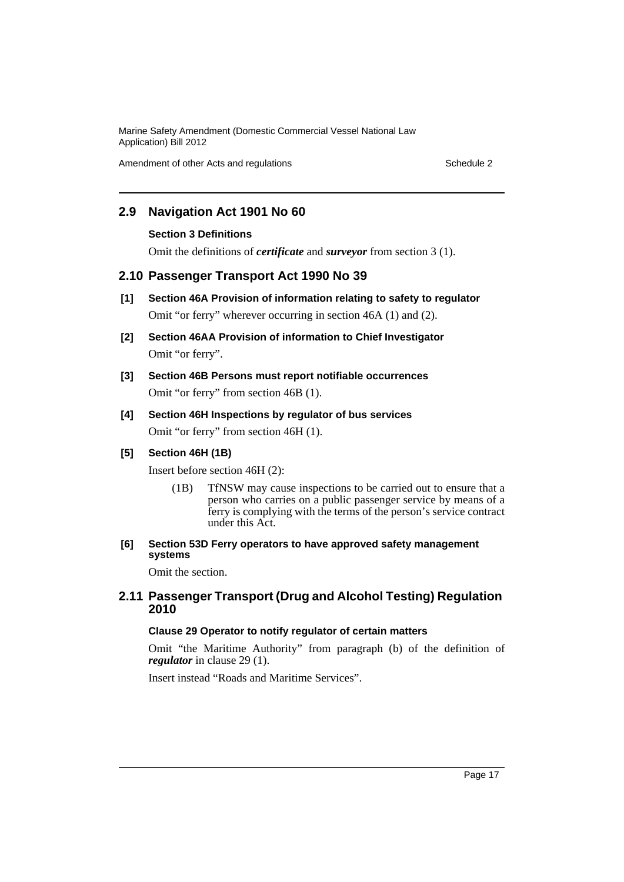Amendment of other Acts and regulations **Schedule 2** Schedule 2

# **2.9 Navigation Act 1901 No 60**

## **Section 3 Definitions**

Omit the definitions of *certificate* and *surveyor* from section 3 (1).

## **2.10 Passenger Transport Act 1990 No 39**

- **[1] Section 46A Provision of information relating to safety to regulator** Omit "or ferry" wherever occurring in section 46A (1) and (2).
- **[2] Section 46AA Provision of information to Chief Investigator** Omit "or ferry".
- **[3] Section 46B Persons must report notifiable occurrences** Omit "or ferry" from section 46B (1).

# **[4] Section 46H Inspections by regulator of bus services**

Omit "or ferry" from section 46H (1).

## **[5] Section 46H (1B)**

Insert before section 46H (2):

(1B) TfNSW may cause inspections to be carried out to ensure that a person who carries on a public passenger service by means of a ferry is complying with the terms of the person's service contract under this Act.

## **[6] Section 53D Ferry operators to have approved safety management systems**

Omit the section.

## **2.11 Passenger Transport (Drug and Alcohol Testing) Regulation 2010**

## **Clause 29 Operator to notify regulator of certain matters**

Omit "the Maritime Authority" from paragraph (b) of the definition of *regulator* in clause 29 (1).

Insert instead "Roads and Maritime Services".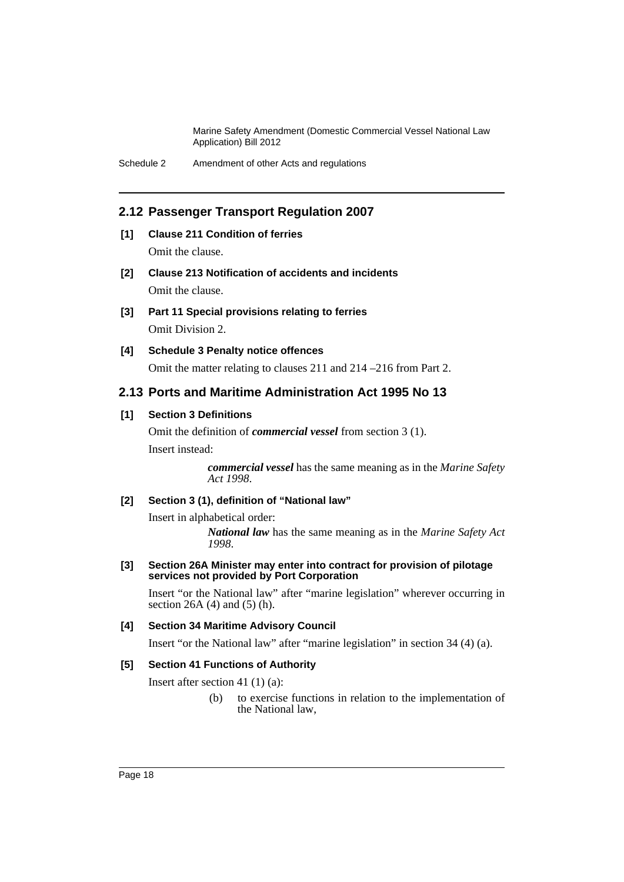## **2.12 Passenger Transport Regulation 2007**

## **[1] Clause 211 Condition of ferries**

Omit the clause.

- **[2] Clause 213 Notification of accidents and incidents** Omit the clause.
- **[3] Part 11 Special provisions relating to ferries** Omit Division 2.

## **[4] Schedule 3 Penalty notice offences**

Omit the matter relating to clauses 211 and 214 –216 from Part 2.

## **2.13 Ports and Maritime Administration Act 1995 No 13**

## **[1] Section 3 Definitions**

Omit the definition of *commercial vessel* from section 3 (1). Insert instead:

> *commercial vessel* has the same meaning as in the *Marine Safety Act 1998*.

## **[2] Section 3 (1), definition of "National law"**

Insert in alphabetical order:

*National law* has the same meaning as in the *Marine Safety Act 1998*.

**[3] Section 26A Minister may enter into contract for provision of pilotage services not provided by Port Corporation**

Insert "or the National law" after "marine legislation" wherever occurring in section 26A  $(4)$  and  $(5)$   $(h)$ .

#### **[4] Section 34 Maritime Advisory Council**

Insert "or the National law" after "marine legislation" in section 34 (4) (a).

## **[5] Section 41 Functions of Authority**

Insert after section 41 (1) (a):

(b) to exercise functions in relation to the implementation of the National law,